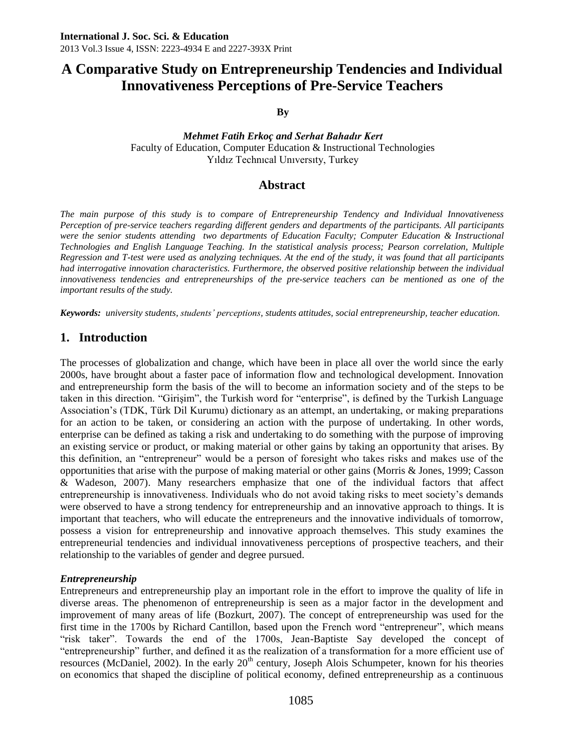# **A Comparative Study on Entrepreneurship Tendencies and Individual Innovativeness Perceptions of Pre-Service Teachers**

**By**

#### *Mehmet Fatih Erkoç and Serhat Bahadır Kert* Faculty of Education, Computer Education & Instructional Technologies Yıldız Technıcal Unıversıty, Turkey

### **Abstract**

*The main purpose of this study is to compare of Entrepreneurship Tendency and Individual Innovativeness Perception of pre-service teachers regarding different genders and departments of the participants. All participants were the senior students attending two departments of Education Faculty; Computer Education & Instructional Technologies and English Language Teaching. In the statistical analysis process; Pearson correlation, Multiple Regression and T-test were used as analyzing techniques. At the end of the study, it was found that all participants had interrogative innovation characteristics. Furthermore, the observed positive relationship between the individual innovativeness tendencies and entrepreneurships of the pre-service teachers can be mentioned as one of the important results of the study.* 

*Keywords: university students, students' perceptions, students attitudes, social entrepreneurship, teacher education.*

# **1. Introduction**

The processes of globalization and change, which have been in place all over the world since the early 2000s, have brought about a faster pace of information flow and technological development. Innovation and entrepreneurship form the basis of the will to become an information society and of the steps to be taken in this direction. "Girişim", the Turkish word for "enterprise", is defined by the Turkish Language Association's (TDK, Türk Dil Kurumu) dictionary as an attempt, an undertaking, or making preparations for an action to be taken, or considering an action with the purpose of undertaking. In other words, enterprise can be defined as taking a risk and undertaking to do something with the purpose of improving an existing service or product, or making material or other gains by taking an opportunity that arises. By this definition, an "entrepreneur" would be a person of foresight who takes risks and makes use of the opportunities that arise with the purpose of making material or other gains (Morris & Jones, 1999; Casson & Wadeson, 2007). Many researchers emphasize that one of the individual factors that affect entrepreneurship is innovativeness. Individuals who do not avoid taking risks to meet society's demands were observed to have a strong tendency for entrepreneurship and an innovative approach to things. It is important that teachers, who will educate the entrepreneurs and the innovative individuals of tomorrow, possess a vision for entrepreneurship and innovative approach themselves. This study examines the entrepreneurial tendencies and individual innovativeness perceptions of prospective teachers, and their relationship to the variables of gender and degree pursued.

### *Entrepreneurship*

Entrepreneurs and entrepreneurship play an important role in the effort to improve the quality of life in diverse areas. The phenomenon of entrepreneurship is seen as a major factor in the development and improvement of many areas of life (Bozkurt, 2007). The concept of entrepreneurship was used for the first time in the 1700s by Richard Cantillon, based upon the French word "entrepreneur", which means "risk taker". Towards the end of the 1700s, Jean-Baptiste Say developed the concept of "entrepreneurship" further, and defined it as the realization of a transformation for a more efficient use of resources (McDaniel, 2002). In the early  $20<sup>th</sup>$  century, Joseph Alois Schumpeter, known for his theories on economics that shaped the discipline of political economy, defined entrepreneurship as a continuous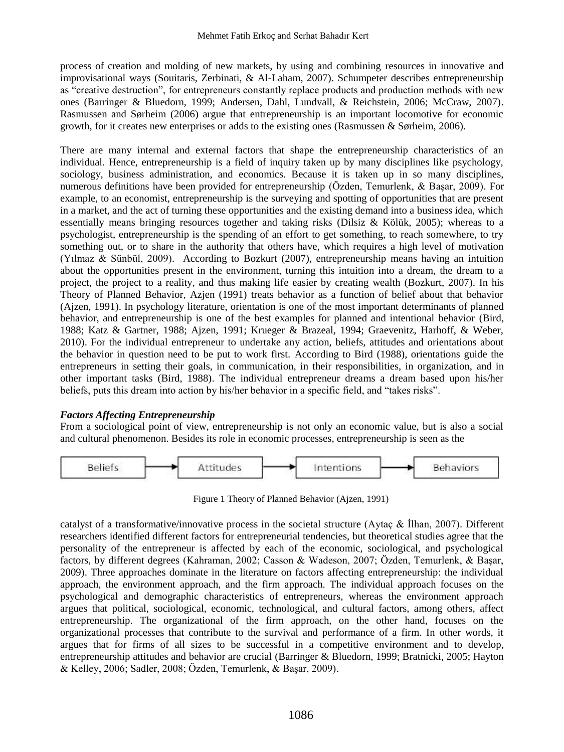process of creation and molding of new markets, by using and combining resources in innovative and improvisational ways (Souitaris, Zerbinati, & Al-Laham, 2007). Schumpeter describes entrepreneurship as "creative destruction", for entrepreneurs constantly replace products and production methods with new ones (Barringer & Bluedorn, 1999; Andersen, Dahl, Lundvall, & Reichstein, 2006; McCraw, 2007). Rasmussen and Sørheim (2006) argue that entrepreneurship is an important locomotive for economic growth, for it creates new enterprises or adds to the existing ones (Rasmussen & Sørheim, 2006).

There are many internal and external factors that shape the entrepreneurship characteristics of an individual. Hence, entrepreneurship is a field of inquiry taken up by many disciplines like psychology, sociology, business administration, and economics. Because it is taken up in so many disciplines, numerous definitions have been provided for entrepreneurship (Özden, Temurlenk, & Başar, 2009). For example, to an economist, entrepreneurship is the surveying and spotting of opportunities that are present in a market, and the act of turning these opportunities and the existing demand into a business idea, which essentially means bringing resources together and taking risks (Dilsiz & Kölük, 2005); whereas to a psychologist, entrepreneurship is the spending of an effort to get something, to reach somewhere, to try something out, or to share in the authority that others have, which requires a high level of motivation (Yılmaz & Sünbül, 2009). According to Bozkurt (2007), entrepreneurship means having an intuition about the opportunities present in the environment, turning this intuition into a dream, the dream to a project, the project to a reality, and thus making life easier by creating wealth (Bozkurt, 2007). In his Theory of Planned Behavior, Azjen (1991) treats behavior as a function of belief about that behavior (Ajzen, 1991). In psychology literature, orientation is one of the most important determinants of planned behavior, and entrepreneurship is one of the best examples for planned and intentional behavior (Bird, 1988; Katz & Gartner, 1988; Ajzen, 1991; Krueger & Brazeal, 1994; Graevenitz, Harhoff, & Weber, 2010). For the individual entrepreneur to undertake any action, beliefs, attitudes and orientations about the behavior in question need to be put to work first. According to Bird (1988), orientations guide the entrepreneurs in setting their goals, in communication, in their responsibilities, in organization, and in other important tasks (Bird, 1988). The individual entrepreneur dreams a dream based upon his/her beliefs, puts this dream into action by his/her behavior in a specific field, and "takes risks".

### *Factors Affecting Entrepreneurship*

From a sociological point of view, entrepreneurship is not only an economic value, but is also a social and cultural phenomenon. Besides its role in economic processes, entrepreneurship is seen as the



Figure 1 Theory of Planned Behavior (Ajzen, 1991)

catalyst of a transformative/innovative process in the societal structure (Aytaç & İlhan, 2007). Different researchers identified different factors for entrepreneurial tendencies, but theoretical studies agree that the personality of the entrepreneur is affected by each of the economic, sociological, and psychological factors, by different degrees (Kahraman, 2002; Casson & Wadeson, 2007; Özden, Temurlenk, & Başar, 2009). Three approaches dominate in the literature on factors affecting entrepreneurship: the individual approach, the environment approach, and the firm approach. The individual approach focuses on the psychological and demographic characteristics of entrepreneurs, whereas the environment approach argues that political, sociological, economic, technological, and cultural factors, among others, affect entrepreneurship. The organizational of the firm approach, on the other hand, focuses on the organizational processes that contribute to the survival and performance of a firm. In other words, it argues that for firms of all sizes to be successful in a competitive environment and to develop, entrepreneurship attitudes and behavior are crucial (Barringer & Bluedorn, 1999; Bratnicki, 2005; Hayton & Kelley, 2006; Sadler, 2008; Özden, Temurlenk, & Başar, 2009).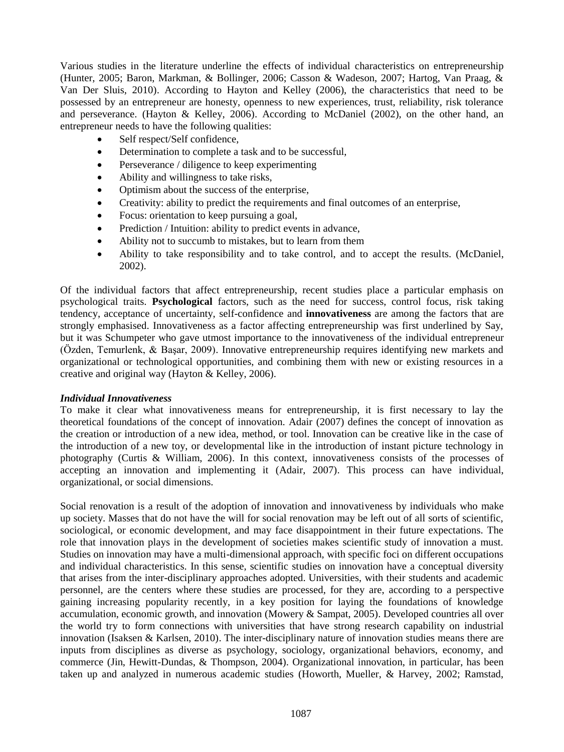Various studies in the literature underline the effects of individual characteristics on entrepreneurship (Hunter, 2005; Baron, Markman, & Bollinger, 2006; Casson & Wadeson, 2007; Hartog, Van Praag, & Van Der Sluis, 2010). According to Hayton and Kelley (2006), the characteristics that need to be possessed by an entrepreneur are honesty, openness to new experiences, trust, reliability, risk tolerance and perseverance. (Hayton & Kelley, 2006). According to McDaniel (2002), on the other hand, an entrepreneur needs to have the following qualities:

- Self respect/Self confidence,
- Determination to complete a task and to be successful,
- Perseverance / diligence to keep experimenting
- Ability and willingness to take risks,
- Optimism about the success of the enterprise,
- Creativity: ability to predict the requirements and final outcomes of an enterprise,
- Focus: orientation to keep pursuing a goal,
- Prediction / Intuition: ability to predict events in advance,
- Ability not to succumb to mistakes, but to learn from them
- Ability to take responsibility and to take control, and to accept the results. (McDaniel, 2002).

Of the individual factors that affect entrepreneurship, recent studies place a particular emphasis on psychological traits. **Psychological** factors, such as the need for success, control focus, risk taking tendency, acceptance of uncertainty, self-confidence and **innovativeness** are among the factors that are strongly emphasised. Innovativeness as a factor affecting entrepreneurship was first underlined by Say, but it was Schumpeter who gave utmost importance to the innovativeness of the individual entrepreneur (Özden, Temurlenk, & Başar, 2009). Innovative entrepreneurship requires identifying new markets and organizational or technological opportunities, and combining them with new or existing resources in a creative and original way (Hayton & Kelley, 2006).

### *Individual Innovativeness*

To make it clear what innovativeness means for entrepreneurship, it is first necessary to lay the theoretical foundations of the concept of innovation. Adair (2007) defines the concept of innovation as the creation or introduction of a new idea, method, or tool. Innovation can be creative like in the case of the introduction of a new toy, or developmental like in the introduction of instant picture technology in photography (Curtis & William, 2006). In this context, innovativeness consists of the processes of accepting an innovation and implementing it (Adair, 2007). This process can have individual, organizational, or social dimensions.

Social renovation is a result of the adoption of innovation and innovativeness by individuals who make up society. Masses that do not have the will for social renovation may be left out of all sorts of scientific, sociological, or economic development, and may face disappointment in their future expectations. The role that innovation plays in the development of societies makes scientific study of innovation a must. Studies on innovation may have a multi-dimensional approach, with specific foci on different occupations and individual characteristics. In this sense, scientific studies on innovation have a conceptual diversity that arises from the inter-disciplinary approaches adopted. Universities, with their students and academic personnel, are the centers where these studies are processed, for they are, according to a perspective gaining increasing popularity recently, in a key position for laying the foundations of knowledge accumulation, economic growth, and innovation (Mowery & Sampat, 2005). Developed countries all over the world try to form connections with universities that have strong research capability on industrial innovation (Isaksen & Karlsen, 2010). The inter-disciplinary nature of innovation studies means there are inputs from disciplines as diverse as psychology, sociology, organizational behaviors, economy, and commerce (Jin, Hewitt-Dundas, & Thompson, 2004). Organizational innovation, in particular, has been taken up and analyzed in numerous academic studies (Howorth, Mueller, & Harvey, 2002; Ramstad,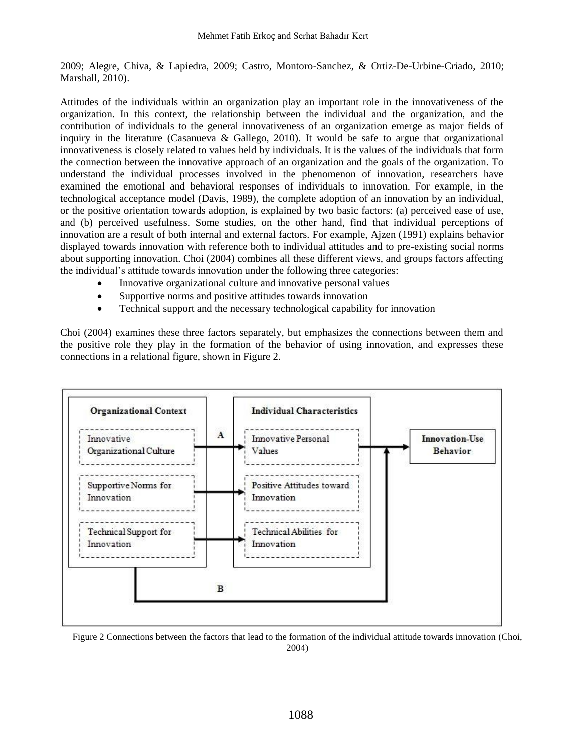2009; Alegre, Chiva, & Lapiedra, 2009; Castro, Montoro-Sanchez, & Ortiz-De-Urbine-Criado, 2010; Marshall, 2010).

Attitudes of the individuals within an organization play an important role in the innovativeness of the organization. In this context, the relationship between the individual and the organization, and the contribution of individuals to the general innovativeness of an organization emerge as major fields of inquiry in the literature (Casanueva & Gallego, 2010). It would be safe to argue that organizational innovativeness is closely related to values held by individuals. It is the values of the individuals that form the connection between the innovative approach of an organization and the goals of the organization. To understand the individual processes involved in the phenomenon of innovation, researchers have examined the emotional and behavioral responses of individuals to innovation. For example, in the technological acceptance model (Davis, 1989), the complete adoption of an innovation by an individual, or the positive orientation towards adoption, is explained by two basic factors: (a) perceived ease of use, and (b) perceived usefulness. Some studies, on the other hand, find that individual perceptions of innovation are a result of both internal and external factors. For example, Ajzen (1991) explains behavior displayed towards innovation with reference both to individual attitudes and to pre-existing social norms about supporting innovation. Choi (2004) combines all these different views, and groups factors affecting the individual's attitude towards innovation under the following three categories:

- Innovative organizational culture and innovative personal values
- Supportive norms and positive attitudes towards innovation
- Technical support and the necessary technological capability for innovation

Choi (2004) examines these three factors separately, but emphasizes the connections between them and the positive role they play in the formation of the behavior of using innovation, and expresses these connections in a relational figure, shown in Figure 2.



Figure 2 Connections between the factors that lead to the formation of the individual attitude towards innovation (Choi, 2004)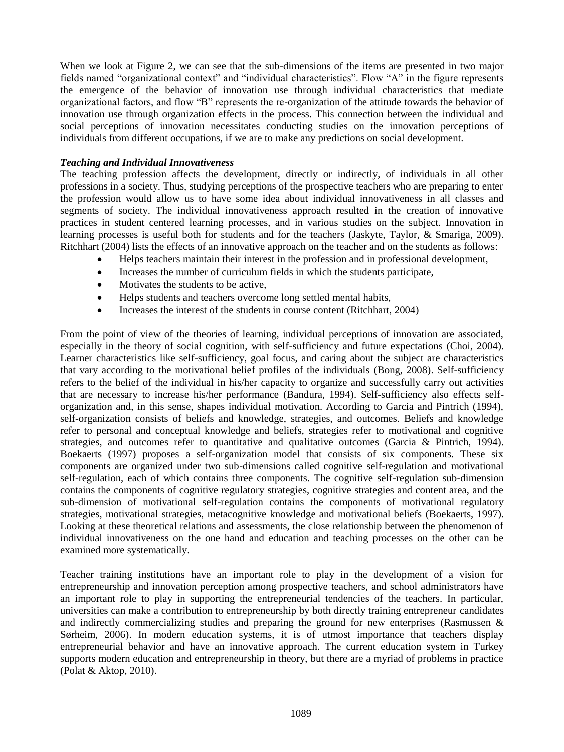When we look at Figure 2, we can see that the sub-dimensions of the items are presented in two major fields named "organizational context" and "individual characteristics". Flow "A" in the figure represents the emergence of the behavior of innovation use through individual characteristics that mediate organizational factors, and flow "B" represents the re-organization of the attitude towards the behavior of innovation use through organization effects in the process. This connection between the individual and social perceptions of innovation necessitates conducting studies on the innovation perceptions of individuals from different occupations, if we are to make any predictions on social development.

### *Teaching and Individual Innovativeness*

The teaching profession affects the development, directly or indirectly, of individuals in all other professions in a society. Thus, studying perceptions of the prospective teachers who are preparing to enter the profession would allow us to have some idea about individual innovativeness in all classes and segments of society. The individual innovativeness approach resulted in the creation of innovative practices in student centered learning processes, and in various studies on the subject. Innovation in learning processes is useful both for students and for the teachers (Jaskyte, Taylor, & Smariga, 2009). Ritchhart (2004) lists the effects of an innovative approach on the teacher and on the students as follows:

- Helps teachers maintain their interest in the profession and in professional development,
- Increases the number of curriculum fields in which the students participate,
- Motivates the students to be active,
- Helps students and teachers overcome long settled mental habits,
- Increases the interest of the students in course content (Ritchhart, 2004)

From the point of view of the theories of learning, individual perceptions of innovation are associated, especially in the theory of social cognition, with self-sufficiency and future expectations (Choi, 2004). Learner characteristics like self-sufficiency, goal focus, and caring about the subject are characteristics that vary according to the motivational belief profiles of the individuals (Bong, 2008). Self-sufficiency refers to the belief of the individual in his/her capacity to organize and successfully carry out activities that are necessary to increase his/her performance (Bandura, 1994). Self-sufficiency also effects selforganization and, in this sense, shapes individual motivation. According to Garcia and Pintrich (1994), self-organization consists of beliefs and knowledge, strategies, and outcomes. Beliefs and knowledge refer to personal and conceptual knowledge and beliefs, strategies refer to motivational and cognitive strategies, and outcomes refer to quantitative and qualitative outcomes (Garcia & Pintrich, 1994). Boekaerts (1997) proposes a self-organization model that consists of six components. These six components are organized under two sub-dimensions called cognitive self-regulation and motivational self-regulation, each of which contains three components. The cognitive self-regulation sub-dimension contains the components of cognitive regulatory strategies, cognitive strategies and content area, and the sub-dimension of motivational self-regulation contains the components of motivational regulatory strategies, motivational strategies, metacognitive knowledge and motivational beliefs (Boekaerts, 1997). Looking at these theoretical relations and assessments, the close relationship between the phenomenon of individual innovativeness on the one hand and education and teaching processes on the other can be examined more systematically.

Teacher training institutions have an important role to play in the development of a vision for entrepreneurship and innovation perception among prospective teachers, and school administrators have an important role to play in supporting the entrepreneurial tendencies of the teachers. In particular, universities can make a contribution to entrepreneurship by both directly training entrepreneur candidates and indirectly commercializing studies and preparing the ground for new enterprises (Rasmussen  $\&$ Sørheim, 2006). In modern education systems, it is of utmost importance that teachers display entrepreneurial behavior and have an innovative approach. The current education system in Turkey supports modern education and entrepreneurship in theory, but there are a myriad of problems in practice (Polat & Aktop, 2010).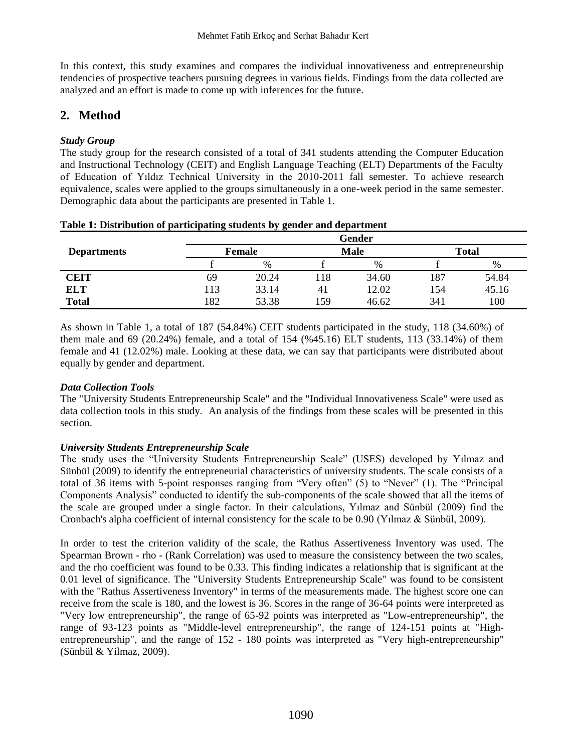In this context, this study examines and compares the individual innovativeness and entrepreneurship tendencies of prospective teachers pursuing degrees in various fields. Findings from the data collected are analyzed and an effort is made to come up with inferences for the future.

# **2. Method**

### *Study Group*

The study group for the research consisted of a total of 341 students attending the Computer Education and Instructional Technology (CEIT) and English Language Teaching (ELT) Departments of the Faculty of Education of Yıldız Technical University in the 2010-2011 fall semester. To achieve research equivalence, scales were applied to the groups simultaneously in a one-week period in the same semester. Demographic data about the participants are presented in Table 1.

|                    |        |       |      | Gender |              |       |
|--------------------|--------|-------|------|--------|--------------|-------|
| <b>Departments</b> | Female |       | Male |        | <b>Total</b> |       |
|                    |        | $\%$  |      | $\%$   |              | %     |
| <b>CEIT</b>        | 69     | 20.24 | 18   | 34.60  | 187          | 54.84 |
| ELT                | . 13   | 33.14 | 41   | 12.02  | 154          | 45.16 |
| <b>Total</b>       | 182    | 53.38 | 159  | 46.62  | 341          | 100   |

| Table 1: Distribution of participating students by gender and department |  |  |  |  |
|--------------------------------------------------------------------------|--|--|--|--|
|--------------------------------------------------------------------------|--|--|--|--|

As shown in Table 1, a total of 187 (54.84%) CEIT students participated in the study, 118 (34.60%) of them male and 69 (20.24%) female, and a total of 154 (%45.16) ELT students, 113 (33.14%) of them female and 41 (12.02%) male. Looking at these data, we can say that participants were distributed about equally by gender and department.

### *Data Collection Tools*

The "University Students Entrepreneurship Scale" and the "Individual Innovativeness Scale" were used as data collection tools in this study. An analysis of the findings from these scales will be presented in this section.

### *University Students Entrepreneurship Scale*

The study uses the "University Students Entrepreneurship Scale" (USES) developed by Yılmaz and Sünbül (2009) to identify the entrepreneurial characteristics of university students. The scale consists of a total of 36 items with 5-point responses ranging from "Very often" (5) to "Never" (1). The "Principal Components Analysis" conducted to identify the sub-components of the scale showed that all the items of the scale are grouped under a single factor. In their calculations, Yılmaz and Sünbül (2009) find the Cronbach's alpha coefficient of internal consistency for the scale to be 0.90 (Yılmaz & Sünbül, 2009).

In order to test the criterion validity of the scale, the Rathus Assertiveness Inventory was used. The Spearman Brown - rho - (Rank Correlation) was used to measure the consistency between the two scales, and the rho coefficient was found to be 0.33. This finding indicates a relationship that is significant at the 0.01 level of significance. The "University Students Entrepreneurship Scale" was found to be consistent with the "Rathus Assertiveness Inventory" in terms of the measurements made. The highest score one can receive from the scale is 180, and the lowest is 36. Scores in the range of 36-64 points were interpreted as "Very low entrepreneurship", the range of 65-92 points was interpreted as "Low-entrepreneurship", the range of 93-123 points as "Middle-level entrepreneurship", the range of 124-151 points at "Highentrepreneurship", and the range of 152 - 180 points was interpreted as "Very high-entrepreneurship" (Sünbül & Yilmaz, 2009).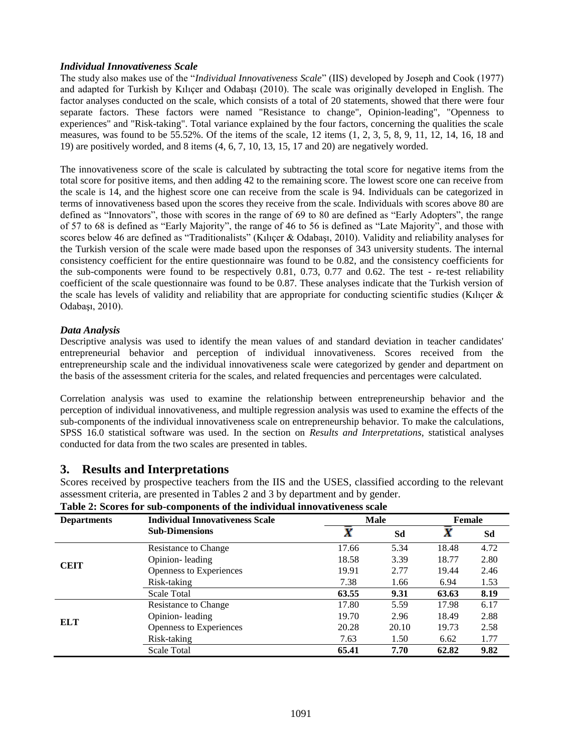#### *Individual Innovativeness Scale*

The study also makes use of the "*Individual Innovativeness Scale*" (IIS) developed by Joseph and Cook (1977) and adapted for Turkish by Kılıçer and Odabaşı (2010). The scale was originally developed in English. The factor analyses conducted on the scale, which consists of a total of 20 statements, showed that there were four separate factors. These factors were named "Resistance to change", Opinion-leading", "Openness to experiences" and "Risk-taking". Total variance explained by the four factors, concerning the qualities the scale measures, was found to be  $55.52\%$ . Of the items of the scale, 12 items  $(1, 2, 3, 5, 8, 9, 11, 12, 14, 16, 18, 18, 18)$ 19) are positively worded, and 8 items (4, 6, 7, 10, 13, 15, 17 and 20) are negatively worded.

The innovativeness score of the scale is calculated by subtracting the total score for negative items from the total score for positive items, and then adding 42 to the remaining score. The lowest score one can receive from the scale is 14, and the highest score one can receive from the scale is 94. Individuals can be categorized in terms of innovativeness based upon the scores they receive from the scale. Individuals with scores above 80 are defined as "Innovators", those with scores in the range of 69 to 80 are defined as "Early Adopters", the range of 57 to 68 is defined as "Early Majority", the range of 46 to 56 is defined as "Late Majority", and those with scores below 46 are defined as "Traditionalists" (Kilicer & Odabasi, 2010). Validity and reliability analyses for the Turkish version of the scale were made based upon the responses of 343 university students. The internal consistency coefficient for the entire questionnaire was found to be 0.82, and the consistency coefficients for the sub-components were found to be respectively 0.81, 0.73, 0.77 and 0.62. The test - re-test reliability coefficient of the scale questionnaire was found to be 0.87. These analyses indicate that the Turkish version of the scale has levels of validity and reliability that are appropriate for conducting scientific studies (Kilicer  $\&$ Odabaşı, 2010).

#### *Data Analysis*

Descriptive analysis was used to identify the mean values of and standard deviation in teacher candidates' entrepreneurial behavior and perception of individual innovativeness. Scores received from the entrepreneurship scale and the individual innovativeness scale were categorized by gender and department on the basis of the assessment criteria for the scales, and related frequencies and percentages were calculated.

Correlation analysis was used to examine the relationship between entrepreneurship behavior and the perception of individual innovativeness, and multiple regression analysis was used to examine the effects of the sub-components of the individual innovativeness scale on entrepreneurship behavior. To make the calculations, SPSS 16.0 statistical software was used. In the section on *Results and Interpretations*, statistical analyses conducted for data from the two scales are presented in tables.

### **3. Results and Interpretations**

Scores received by prospective teachers from the IIS and the USES, classified according to the relevant assessment criteria, are presented in Tables 2 and 3 by department and by gender.

| <b>Departments</b> | <b>Individual Innovativeness Scale</b> |       | Male  | Female |      |
|--------------------|----------------------------------------|-------|-------|--------|------|
|                    | <b>Sub-Dimensions</b>                  | X     | Sd    | X      | Sd   |
|                    | Resistance to Change                   | 17.66 | 5.34  | 18.48  | 4.72 |
| <b>CEIT</b>        | Opinion-leading                        | 18.58 | 3.39  | 18.77  | 2.80 |
|                    | Openness to Experiences                | 19.91 | 2.77  | 19.44  | 2.46 |
|                    | Risk-taking                            | 7.38  | 1.66  | 6.94   | 1.53 |
|                    | <b>Scale Total</b>                     | 63.55 | 9.31  | 63.63  | 8.19 |
|                    | Resistance to Change                   | 17.80 | 5.59  | 17.98  | 6.17 |
| <b>ELT</b>         | Opinion-leading                        | 19.70 | 2.96  | 18.49  | 2.88 |
|                    | Openness to Experiences                | 20.28 | 20.10 | 19.73  | 2.58 |
|                    | Risk-taking                            | 7.63  | 1.50  | 6.62   | 1.77 |
|                    | <b>Scale Total</b>                     | 65.41 | 7.70  | 62.82  | 9.82 |

**Table 2: Scores for sub-components of the individual innovativeness scale**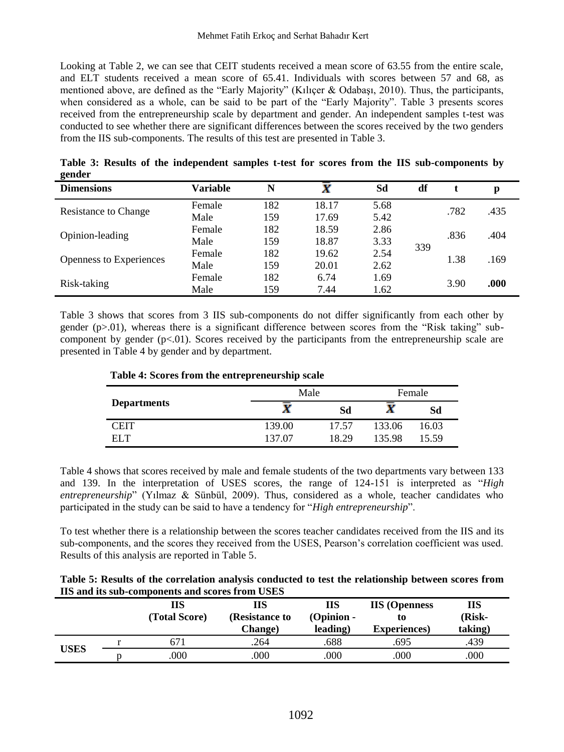Looking at Table 2, we can see that CEIT students received a mean score of 63.55 from the entire scale, and ELT students received a mean score of 65.41. Individuals with scores between 57 and 68, as mentioned above, are defined as the "Early Majority" (Kılıçer & Odabaşı, 2010). Thus, the participants, when considered as a whole, can be said to be part of the "Early Majority". Table 3 presents scores received from the entrepreneurship scale by department and gender. An independent samples t-test was conducted to see whether there are significant differences between the scores received by the two genders from the IIS sub-components. The results of this test are presented in Table 3.

| $\sim$                         |                 |     |       |      |     |      |      |
|--------------------------------|-----------------|-----|-------|------|-----|------|------|
| <b>Dimensions</b>              | <b>Variable</b> | N   | X     | Sd   | df  |      | p    |
| <b>Resistance to Change</b>    | Female          | 182 | 18.17 | 5.68 |     | .782 |      |
|                                | Male            | 159 | 17.69 | 5.42 |     |      | .435 |
| Opinion-leading                | Female          | 182 | 18.59 | 2.86 | 339 | .836 | .404 |
|                                | Male            | 159 | 18.87 | 3.33 |     |      |      |
|                                | Female          | 182 | 19.62 | 2.54 |     | 1.38 | .169 |
| <b>Openness to Experiences</b> | Male            | 159 | 20.01 | 2.62 |     |      |      |
| Risk-taking                    | Female          | 182 | 6.74  | 1.69 |     |      |      |
|                                | Male            | 159 | 7.44  | 1.62 |     | 3.90 | .000 |

**Table 3: Results of the independent samples t-test for scores from the IIS sub-components by gender**

Table 3 shows that scores from 3 IIS sub-components do not differ significantly from each other by gender (p>.01), whereas there is a significant difference between scores from the "Risk taking" subcomponent by gender (p<.01). Scores received by the participants from the entrepreneurship scale are presented in Table 4 by gender and by department.

|  |  |  | Table 4: Scores from the entrepreneurship scale |
|--|--|--|-------------------------------------------------|
|--|--|--|-------------------------------------------------|

|                    | Male   | Female |        |       |
|--------------------|--------|--------|--------|-------|
| <b>Departments</b> | X      | Sd     | X      | Sd    |
| CEIT               | 139.00 | 17.57  | 133.06 | 16.03 |
| EL T               | 137.07 | 18.29  | 135.98 | 15.59 |

Table 4 shows that scores received by male and female students of the two departments vary between 133 and 139. In the interpretation of USES scores, the range of 124-151 is interpreted as "*High entrepreneurship*" (Yılmaz & Sünbül, 2009). Thus, considered as a whole, teacher candidates who participated in the study can be said to have a tendency for "*High entrepreneurship*".

To test whether there is a relationship between the scores teacher candidates received from the IIS and its sub-components, and the scores they received from the USES, Pearson's correlation coefficient was used. Results of this analysis are reported in Table 5.

|                                                 | Table 5: Results of the correlation analysis conducted to test the relationship between scores from |
|-------------------------------------------------|-----------------------------------------------------------------------------------------------------|
| IIS and its sub-components and scores from USES |                                                                                                     |

|             | ПS<br>(Total Score) | ПS<br>(Resistance to<br><b>Change</b> ) | ПS<br>$(Option -$<br>leading) | <b>IIS</b> (Openness<br>τo<br><b>Experiences</b> ) | ПS<br>(Risk-<br>taking) |
|-------------|---------------------|-----------------------------------------|-------------------------------|----------------------------------------------------|-------------------------|
|             | 671                 | .264                                    | .688                          | .695                                               | .439                    |
| <b>USES</b> | .000                | 000                                     | 000                           | .000                                               | .000                    |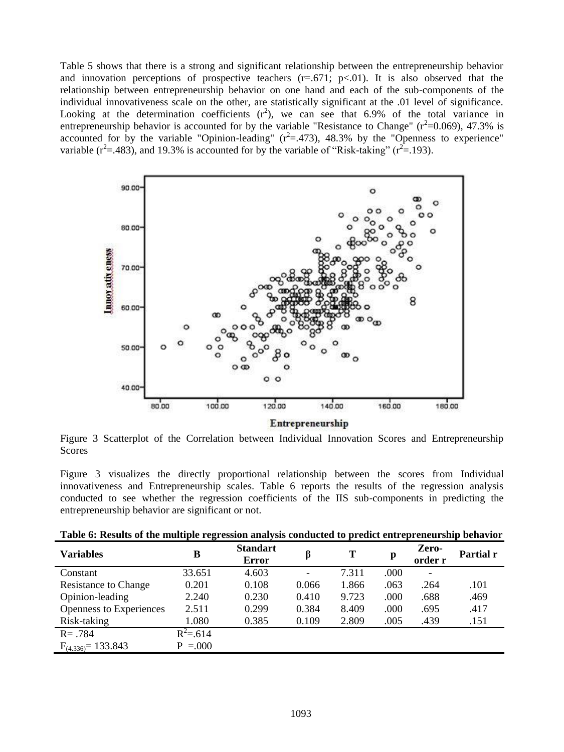Table 5 shows that there is a strong and significant relationship between the entrepreneurship behavior and innovation perceptions of prospective teachers  $(r=.671; p<.01)$ . It is also observed that the relationship between entrepreneurship behavior on one hand and each of the sub-components of the individual innovativeness scale on the other, are statistically significant at the .01 level of significance. Looking at the determination coefficients  $(r^2)$ , we can see that 6.9% of the total variance in entrepreneurship behavior is accounted for by the variable "Resistance to Change" ( $r^2$ =0.069), 47.3% is accounted for by the variable "Opinion-leading"  $(r^2 = .473)$ , 48.3% by the "Openness to experience" variable ( $r^2$ =.483), and 19.3% is accounted for by the variable of "Risk-taking" ( $r^2$ =.193).



Figure 3 Scatterplot of the Correlation between Individual Innovation Scores and Entrepreneurship Scores

Figure 3 visualizes the directly proportional relationship between the scores from Individual innovativeness and Entrepreneurship scales. Table 6 reports the results of the regression analysis conducted to see whether the regression coefficients of the IIS sub-components in predicting the entrepreneurship behavior are significant or not.

|  | Table 6: Results of the multiple regression analysis conducted to predict entrepreneurship behavior |  |  |  |
|--|-----------------------------------------------------------------------------------------------------|--|--|--|
|  |                                                                                                     |  |  |  |

| <b>Variables</b>        | в           | <b>Standart</b><br><b>Error</b> |       | Т     | p    | Zero-<br>order r | Partial r |
|-------------------------|-------------|---------------------------------|-------|-------|------|------------------|-----------|
| Constant                | 33.651      | 4.603                           | ۰     | 7.311 | .000 | -                |           |
| Resistance to Change    | 0.201       | 0.108                           | 0.066 | 1.866 | .063 | .264             | .101      |
| Opinion-leading         | 2.240       | 0.230                           | 0.410 | 9.723 | .000 | .688             | .469      |
| Openness to Experiences | 2.511       | 0.299                           | 0.384 | 8.409 | .000 | .695             | .417      |
| Risk-taking             | 1.080       | 0.385                           | 0.109 | 2.809 | .005 | .439             | .151      |
| $R = .784$              | $R^2 = 614$ |                                 |       |       |      |                  |           |
| $F_{(4.336)} = 133.843$ | $P = 0.000$ |                                 |       |       |      |                  |           |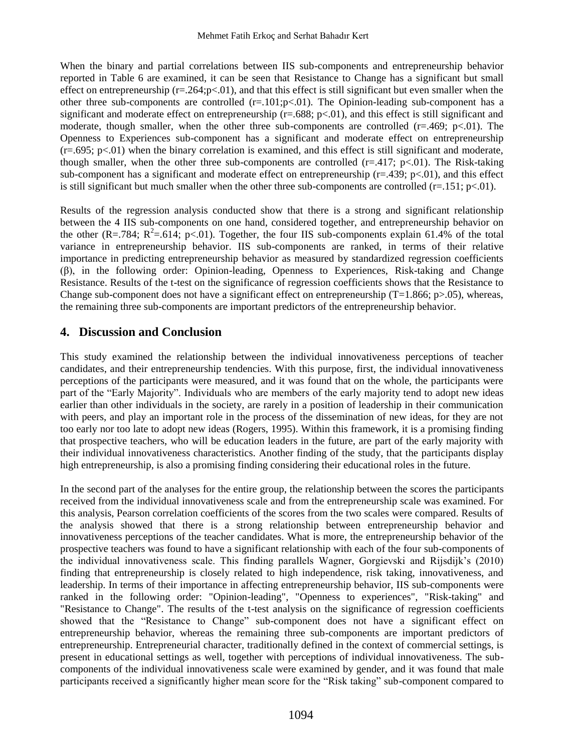When the binary and partial correlations between IIS sub-components and entrepreneurship behavior reported in Table 6 are examined, it can be seen that Resistance to Change has a significant but small effect on entrepreneurship  $(r=.264;p<.01)$ , and that this effect is still significant but even smaller when the other three sub-components are controlled  $(r=.101;p<.01)$ . The Opinion-leading sub-component has a significant and moderate effect on entrepreneurship ( $r=.688$ ;  $p<.01$ ), and this effect is still significant and moderate, though smaller, when the other three sub-components are controlled  $(r=469; p<.01)$ . The Openness to Experiences sub-component has a significant and moderate effect on entrepreneurship  $(r=0.695; p<.01)$  when the binary correlation is examined, and this effect is still significant and moderate, though smaller, when the other three sub-components are controlled  $(r=.417; p<.01)$ . The Risk-taking sub-component has a significant and moderate effect on entrepreneurship  $(r=.439; p<.01)$ , and this effect is still significant but much smaller when the other three sub-components are controlled  $(r=.151; p<.01)$ .

Results of the regression analysis conducted show that there is a strong and significant relationship between the 4 IIS sub-components on one hand, considered together, and entrepreneurship behavior on the other (R=.784; R<sup>2</sup>=.614; p<.01). Together, the four IIS sub-components explain 61.4% of the total variance in entrepreneurship behavior. IIS sub-components are ranked, in terms of their relative importance in predicting entrepreneurship behavior as measured by standardized regression coefficients (β), in the following order: Opinion-leading, Openness to Experiences, Risk-taking and Change Resistance. Results of the t-test on the significance of regression coefficients shows that the Resistance to Change sub-component does not have a significant effect on entrepreneurship  $(T=1.866; p>0.05)$ , whereas, the remaining three sub-components are important predictors of the entrepreneurship behavior.

# **4. Discussion and Conclusion**

This study examined the relationship between the individual innovativeness perceptions of teacher candidates, and their entrepreneurship tendencies. With this purpose, first, the individual innovativeness perceptions of the participants were measured, and it was found that on the whole, the participants were part of the "Early Majority". Individuals who are members of the early majority tend to adopt new ideas earlier than other individuals in the society, are rarely in a position of leadership in their communication with peers, and play an important role in the process of the dissemination of new ideas, for they are not too early nor too late to adopt new ideas (Rogers, 1995). Within this framework, it is a promising finding that prospective teachers, who will be education leaders in the future, are part of the early majority with their individual innovativeness characteristics. Another finding of the study, that the participants display high entrepreneurship, is also a promising finding considering their educational roles in the future.

In the second part of the analyses for the entire group, the relationship between the scores the participants received from the individual innovativeness scale and from the entrepreneurship scale was examined. For this analysis, Pearson correlation coefficients of the scores from the two scales were compared. Results of the analysis showed that there is a strong relationship between entrepreneurship behavior and innovativeness perceptions of the teacher candidates. What is more, the entrepreneurship behavior of the prospective teachers was found to have a significant relationship with each of the four sub-components of the individual innovativeness scale. This finding parallels Wagner, Gorgievski and Rijsdijk's (2010) finding that entrepreneurship is closely related to high independence, risk taking, innovativeness, and leadership. In terms of their importance in affecting entrepreneurship behavior, IIS sub-components were ranked in the following order: "Opinion-leading", "Openness to experiences", "Risk-taking" and "Resistance to Change". The results of the t-test analysis on the significance of regression coefficients showed that the "Resistance to Change" sub-component does not have a significant effect on entrepreneurship behavior, whereas the remaining three sub-components are important predictors of entrepreneurship. Entrepreneurial character, traditionally defined in the context of commercial settings, is present in educational settings as well, together with perceptions of individual innovativeness. The subcomponents of the individual innovativeness scale were examined by gender, and it was found that male participants received a significantly higher mean score for the "Risk taking" sub-component compared to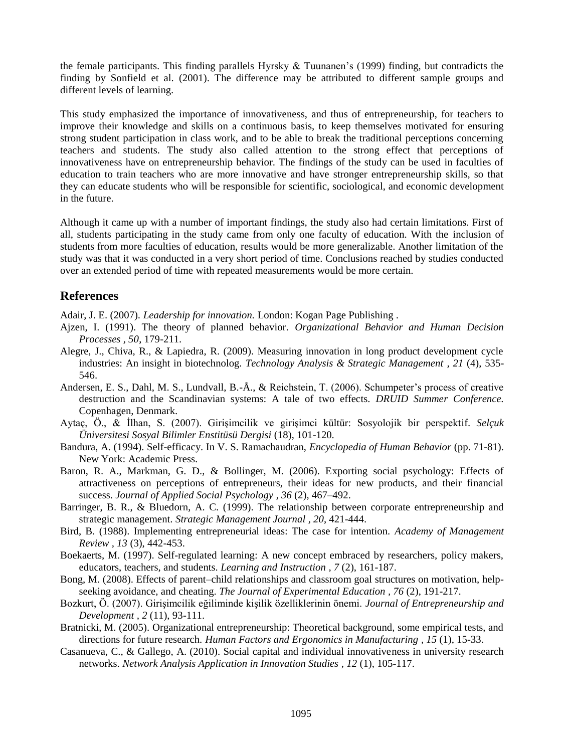the female participants. This finding parallels Hyrsky  $\&$  Tuunanen's (1999) finding, but contradicts the finding by Sonfield et al. (2001). The difference may be attributed to different sample groups and different levels of learning.

This study emphasized the importance of innovativeness, and thus of entrepreneurship, for teachers to improve their knowledge and skills on a continuous basis, to keep themselves motivated for ensuring strong student participation in class work, and to be able to break the traditional perceptions concerning teachers and students. The study also called attention to the strong effect that perceptions of innovativeness have on entrepreneurship behavior. The findings of the study can be used in faculties of education to train teachers who are more innovative and have stronger entrepreneurship skills, so that they can educate students who will be responsible for scientific, sociological, and economic development in the future.

Although it came up with a number of important findings, the study also had certain limitations. First of all, students participating in the study came from only one faculty of education. With the inclusion of students from more faculties of education, results would be more generalizable. Another limitation of the study was that it was conducted in a very short period of time. Conclusions reached by studies conducted over an extended period of time with repeated measurements would be more certain.

### **References**

Adair, J. E. (2007). *Leadership for innovation.* London: Kogan Page Publishing .

- Ajzen, I. (1991). The theory of planned behavior. *Organizational Behavior and Human Decision Processes , 50*, 179-211.
- Alegre, J., Chiva, R., & Lapiedra, R. (2009). Measuring innovation in long product development cycle industries: An insight in biotechnolog. *Technology Analysis & Strategic Management , 21* (4), 535- 546.
- Andersen, E. S., Dahl, M. S., Lundvall, B.-Å., & Reichstein, T. (2006). Schumpeter's process of creative destruction and the Scandinavian systems: A tale of two effects. *DRUID Summer Conference.* Copenhagen, Denmark.
- Aytaç, Ö., & İlhan, S. (2007). Girişimcilik ve girişimci kültür: Sosyolojik bir perspektif. *Selçuk Üniversitesi Sosyal Bilimler Enstitüsü Dergisi* (18), 101-120.
- Bandura, A. (1994). Self-efficacy. In V. S. Ramachaudran, *Encyclopedia of Human Behavior* (pp. 71-81). New York: Academic Press.
- Baron, R. A., Markman, G. D., & Bollinger, M. (2006). Exporting social psychology: Effects of attractiveness on perceptions of entrepreneurs, their ideas for new products, and their financial success. *Journal of Applied Social Psychology , 36* (2), 467–492.
- Barringer, B. R., & Bluedorn, A. C. (1999). The relationship between corporate entrepreneurship and strategic management. *Strategic Management Journal , 20*, 421-444.
- Bird, B. (1988). Implementing entrepreneurial ideas: The case for intention. *Academy of Management Review , 13* (3), 442-453.
- Boekaerts, M. (1997). Self-regulated learning: A new concept embraced by researchers, policy makers, educators, teachers, and students. *Learning and Instruction , 7* (2), 161-187.
- Bong, M. (2008). Effects of parent–child relationships and classroom goal structures on motivation, helpseeking avoidance, and cheating. *The Journal of Experimental Education , 76* (2), 191-217.
- Bozkurt, Ö. (2007). Girişimcilik eğiliminde kişilik özelliklerinin önemi. *Journal of Entrepreneurship and Development , 2* (11), 93-111.
- Bratnicki, M. (2005). Organizational entrepreneurship: Theoretical background, some empirical tests, and directions for future research. *Human Factors and Ergonomics in Manufacturing , 15* (1), 15-33.
- Casanueva, C., & Gallego, A. (2010). Social capital and individual innovativeness in university research networks. *Network Analysis Application in Innovation Studies , 12* (1), 105-117.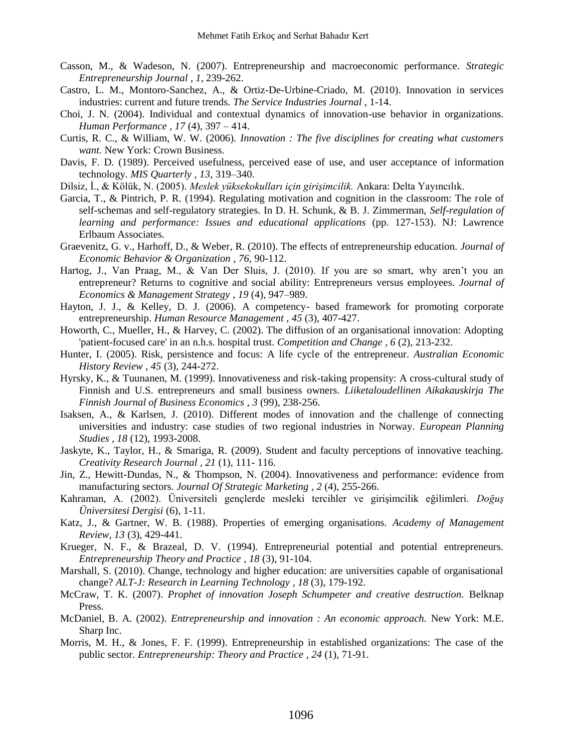- Casson, M., & Wadeson, N. (2007). Entrepreneurship and macroeconomic performance. *Strategic Entrepreneurship Journal , 1*, 239-262.
- Castro, L. M., Montoro-Sanchez, A., & Ortiz-De-Urbine-Criado, M. (2010). Innovation in services industries: current and future trends. *The Service Industries Journal* , 1-14.
- Choi, J. N. (2004). Individual and contextual dynamics of innovation-use behavior in organizations. *Human Performance , 17* (4), 397 – 414.
- Curtis, R. C., & William, W. W. (2006). *Innovation : The five disciplines for creating what customers want.* New York: Crown Business.
- Davis, F. D. (1989). Perceived usefulness, perceived ease of use, and user acceptance of information technology. *MIS Quarterly , 13*, 319–340.
- Dilsiz, İ., & Kölük, N. (2005). *Meslek yüksekokulları için girişimcilik.* Ankara: Delta Yayıncılık.
- Garcia, T., & Pintrich, P. R. (1994). Regulating motivation and cognition in the classroom: The role of self-schemas and self-regulatory strategies. In D. H. Schunk, & B. J. Zimmerman, *Self-regulation of learning and performance: Issues and educational applications* (pp. 127-153). NJ: Lawrence Erlbaum Associates.
- Graevenitz, G. v., Harhoff, D., & Weber, R. (2010). The effects of entrepreneurship education. *Journal of Economic Behavior & Organization , 76*, 90-112.
- Hartog, J., Van Praag, M., & Van Der Sluis, J. (2010). If you are so smart, why aren't you an entrepreneur? Returns to cognitive and social ability: Entrepreneurs versus employees. *Journal of Economics & Management Strategy , 19* (4), 947–989.
- Hayton, J. J., & Kelley, D. J. (2006). A competency- based framework for promoting corporate entrepreneurship. *Human Resource Management , 45* (3), 407-427.
- Howorth, C., Mueller, H., & Harvey, C. (2002). The diffusion of an organisational innovation: Adopting 'patient-focused care' in an n.h.s. hospital trust. *Competition and Change , 6* (2), 213-232.
- Hunter, I. (2005). Risk, persistence and focus: A life cycle of the entrepreneur. *Australian Economic History Review , 45* (3), 244-272.
- Hyrsky, K., & Tuunanen, M. (1999). Innovativeness and risk-taking propensity: A cross-cultural study of Finnish and U.S. entrepreneurs and small business owners. *Liiketaloudellinen Aikakauskirja The Finnish Journal of Business Economics , 3* (99), 238-256.
- Isaksen, A., & Karlsen, J. (2010). Different modes of innovation and the challenge of connecting universities and industry: case studies of two regional industries in Norway. *European Planning Studies , 18* (12), 1993-2008.
- Jaskyte, K., Taylor, H., & Smariga, R. (2009). Student and faculty perceptions of innovative teaching. *Creativity Research Journal , 21* (1), 111- 116.
- Jin, Z., Hewitt-Dundas, N., & Thompson, N. (2004). Innovativeness and performance: evidence from manufacturing sectors. *Journal Of Strategic Marketing , 2* (4), 255-266.
- Kahraman, A. (2002). Üniversiteli gençlerde mesleki tercihler ve girişimcilik eğilimleri. *Doğuş Üniversitesi Dergisi* (6), 1-11.
- Katz, J., & Gartner, W. B. (1988). Properties of emerging organisations. *Academy of Management Review, 13* (3), 429-441.
- Krueger, N. F., & Brazeal, D. V. (1994). Entrepreneurial potential and potential entrepreneurs. *Entrepreneurship Theory and Practice , 18* (3), 91-104.
- Marshall, S. (2010). Change, technology and higher education: are universities capable of organisational change? *ALT-J: Research in Learning Technology , 18* (3), 179-192.
- McCraw, T. K. (2007). *Prophet of innovation Joseph Schumpeter and creative destruction.* Belknap Press.
- McDaniel, B. A. (2002). *Entrepreneurship and innovation : An economic approach.* New York: M.E. Sharp Inc.
- Morris, M. H., & Jones, F. F. (1999). Entrepreneurship in established organizations: The case of the public sector. *Entrepreneurship: Theory and Practice , 24* (1), 71-91.